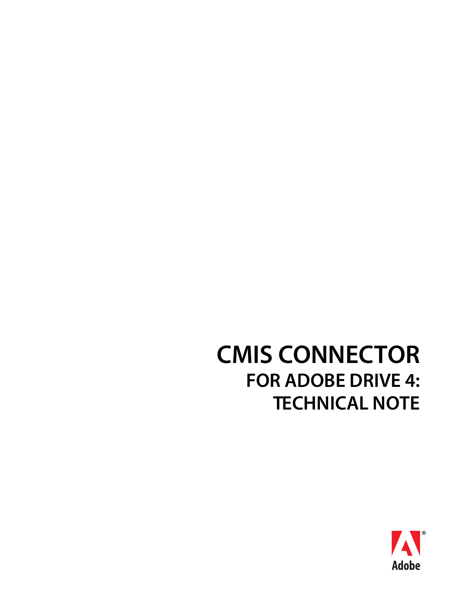# **CMIS CONNECTOR FOR ADOBE DRIVE 4: TECHNICAL NOTE**

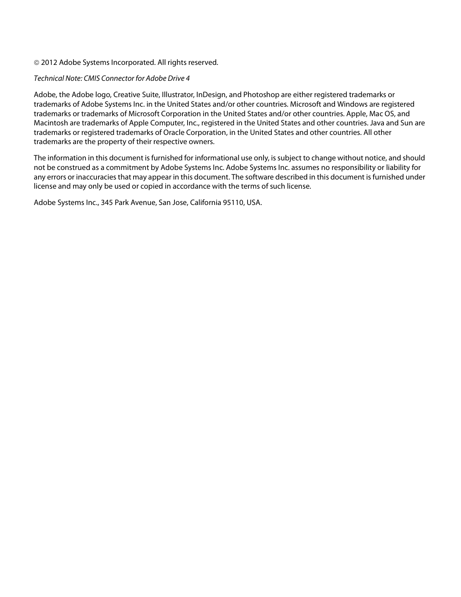#### © 2012 Adobe Systems Incorporated. All rights reserved.

#### Technical Note: CMIS Connector for Adobe Drive 4

Adobe, the Adobe logo, Creative Suite, Illustrator, InDesign, and Photoshop are either registered trademarks or trademarks of Adobe Systems Inc. in the United States and/or other countries. Microsoft and Windows are registered trademarks or trademarks of Microsoft Corporation in the United States and/or other countries. Apple, Mac OS, and Macintosh are trademarks of Apple Computer, Inc., registered in the United States and other countries. Java and Sun are trademarks or registered trademarks of Oracle Corporation, in the United States and other countries. All other trademarks are the property of their respective owners.

The information in this document is furnished for informational use only, is subject to change without notice, and should not be construed as a commitment by Adobe Systems Inc. Adobe Systems Inc. assumes no responsibility or liability for any errors or inaccuracies that may appear in this document. The software described in this document is furnished under license and may only be used or copied in accordance with the terms of such license.

Adobe Systems Inc., 345 Park Avenue, San Jose, California 95110, USA.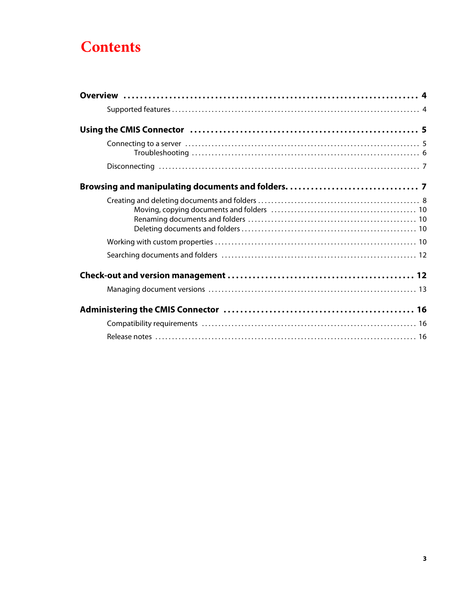# **Contents**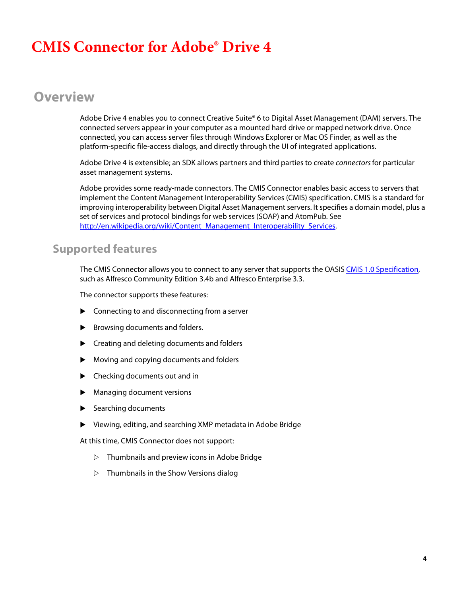# **CMIS Connector for Adobe® Drive 4**

# <span id="page-3-0"></span>**Overview**

Adobe Drive 4 enables you to connect Creative Suite® 6 to Digital Asset Management (DAM) servers. The connected servers appear in your computer as a mounted hard drive or mapped network drive. Once connected, you can access server files through Windows Explorer or Mac OS Finder, as well as the platform-specific file-access dialogs, and directly through the UI of integrated applications.

Adobe Drive 4 is extensible; an SDK allows partners and third parties to create *connectors* for particular asset management systems.

Adobe provides some ready-made connectors. The CMIS Connector enables basic access to servers that implement the Content Management Interoperability Services (CMIS) specification. CMIS is a standard for improving interoperability between Digital Asset Management servers. It specifies a domain model, plus a set of services and protocol bindings for web services (SOAP) and AtomPub. See [http://en.wikipedia.org/wiki/Content\\_Management\\_Interoperability\\_Services.](http://en.wikipedia.org/wiki/Content_Management_Interoperability_Services)

### <span id="page-3-1"></span>**Supported features**

The CMIS Connector allows you to connect to any server that supports the OASIS [CMIS 1.0 Specification,](http://www.oasis-open.org/committees/tc_home.php?wg_abbrev=cmis) such as Alfresco Community Edition 3.4b and Alfresco Enterprise 3.3.

The connector supports these features:

- ▶ Connecting to and disconnecting from a server
- Browsing documents and folders.
- **EX Creating and deleting documents and folders**
- Moving and copying documents and folders
- Checking documents out and in
- Managing document versions
- Searching documents
- Viewing, editing, and searching XMP metadata in Adobe Bridge

At this time, CMIS Connector does not support:

- $\triangleright$  Thumbnails and preview icons in Adobe Bridge
- $\triangleright$  Thumbnails in the Show Versions dialog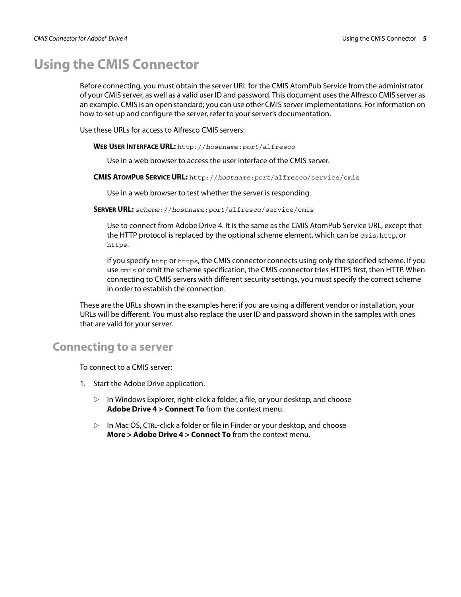# <span id="page-4-0"></span>**Using the CMIS Connector**

Before connecting, you must obtain the server URL for the CMIS AtomPub Service from the administrator of your CMIS server, as well as a valid user ID and password. This document uses the Alfresco CMIS server as an example. CMIS is an open standard; you can use other CMIS server implementations. For information on how to set up and configure the server, refer to your server's documentation.

Use these URLs for access to Alfresco CMIS servers:

**WEB USER INTERFACE URL:** http://hostname:port[/alfresco](http://hostname:port/alfresco)

Use in a web browser to access the user interface of the CMIS server.

**CMIS ATOMPUB SERVICE URL:** http://hostname:port[/alfresco/service/cmis](http://hostname:port/alfresco/service/cmis)

Use in a web browser to test whether the server is responding.

**SERVER URL:** scheme://hostname:port[/alfresco/service/cmis](scheme://hostname:port/alfresco/service/cmis)

Use to connect from Adobe Drive 4. It is the same as the CMIS AtomPub Service URL, except that the HTTP protocol is replaced by the optional scheme element, which can be cmis, http, or https.

If you specify http or https, the CMIS connector connects using only the specified scheme. If you use cmis or omit the scheme specification, the CMIS connector tries HTTPS first, then HTTP. When connecting to CMIS servers with different security settings, you must specify the correct scheme in order to establish the connection.

These are the URLs shown in the examples here; if you are using a different vendor or installation, your URLs will be different. You must also replace the user ID and password shown in the samples with ones that are valid for your server.

#### <span id="page-4-1"></span>**Connecting to a server**

To connect to a CMIS server:

- 1. Start the Adobe Drive application.
	- $\triangleright$  In Windows Explorer, right-click a folder, a file, or your desktop, and choose **Adobe Drive 4 > Connect To** from the context menu.
	- $\triangleright$  In Mac OS, CTRL-click a folder or file in Finder or your desktop, and choose **More > Adobe Drive 4 > Connect To** from the context menu.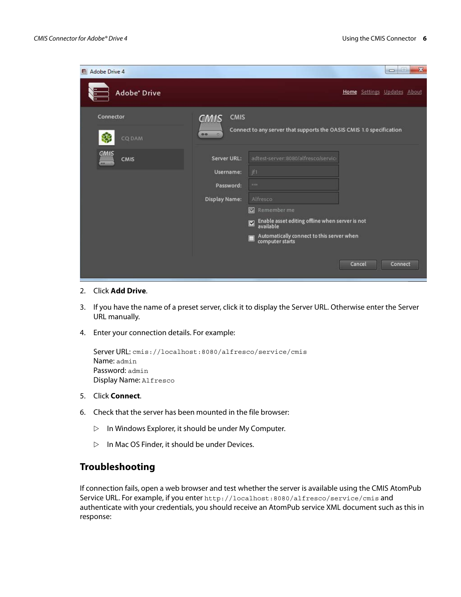| Adobe Drive 4              |                                                               |                                                                                                                                                                                                                                                                  | $\mathbf{x}$<br>$\Box$<br>$\equiv$ |
|----------------------------|---------------------------------------------------------------|------------------------------------------------------------------------------------------------------------------------------------------------------------------------------------------------------------------------------------------------------------------|------------------------------------|
| <b>Adobe</b> Drive         |                                                               |                                                                                                                                                                                                                                                                  | Home Settings Updates About        |
| Connector<br>CQ DAM        | <b>CMIS</b><br><b>CMIS</b><br>00<br>$\alpha$                  | Connect to any server that supports the OASIS CMIS 1.0 specification                                                                                                                                                                                             |                                    |
| CMIS<br><b>CMIS</b><br>88. | Server URL:<br>Username:<br>Password:<br><b>Display Name:</b> | adtest-server: 8080/alfresco/servic/<br> f <br>$\approx 80$<br>Alfresco<br>Remember me<br>$\overline{\mathbf{x}}$<br>Enable asset editing offline when server is not<br>available<br>☑<br>Automatically connect to this server when<br>computer starts<br>$\Box$ |                                    |
|                            |                                                               |                                                                                                                                                                                                                                                                  | Cancel<br>Connect                  |

- 2. Click **Add Drive**.
- 3. If you have the name of a preset server, click it to display the Server URL. Otherwise enter the Server URL manually.
- 4. Enter your connection details. For example:

```
Server URL: cmis://localhost:8080/alfresco/service/cmis
Name: admin
Password: admin
Display Name: Alfresco
```
- 5. Click **Connect**.
- 6. Check that the server has been mounted in the file browser:
	- $\triangleright$  In Windows Explorer, it should be under My Computer.
	- $\triangleright$  In Mac OS Finder, it should be under Devices.

#### <span id="page-5-0"></span>**Troubleshooting**

If connection fails, open a web browser and test whether the server is available using the CMIS AtomPub Service URL. For example, if you enter <http://localhost:8080/alfresco/service/cmis> and authenticate with your credentials, you should receive an AtomPub service XML document such as this in response: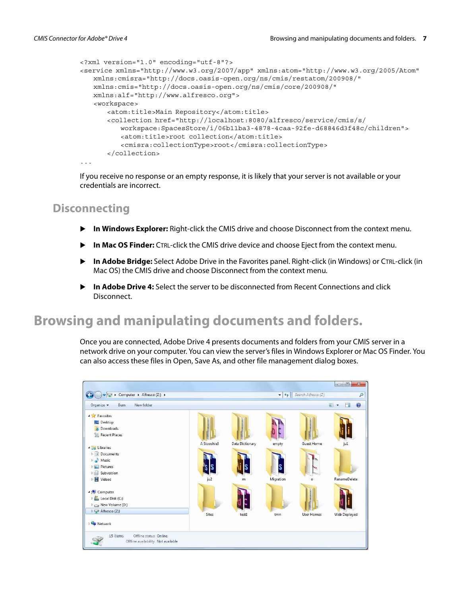```
<?xml version="1.0" encoding="utf-8"?> 
<service xmlns="http://www.w3.org/2007/app" xmlns:atom="http://www.w3.org/2005/Atom"
   xmlns:cmisra="http://docs.oasis-open.org/ns/cmis/restatom/200908/"
   xmlns:cmis="http://docs.oasis-open.org/ns/cmis/core/200908/"
   xmlns:alf="http://www.alfresco.org">
   <workspace>
      <atom:title>Main Repository</atom:title>
      <collection href="http://localhost:8080/alfresco/service/cmis/s/
          workspace:SpacesStore/i/06b11ba3-4878-4caa-92fe-d68846d3f48c/children"> 
          <atom:title>root collection</atom:title> 
          <cmisra:collectionType>root</cmisra:collectionType>
      </collection> 
...
```
If you receive no response or an empty response, it is likely that your server is not available or your credentials are incorrect.

### <span id="page-6-0"></span>**Disconnecting**

- **In Windows Explorer:** Right-click the CMIS drive and choose Disconnect from the context menu.
- **In Mac OS Finder:** CTRL-click the CMIS drive device and choose Eject from the context menu.
- **In Adobe Bridge:** Select Adobe Drive in the Favorites panel. Right-click (in Windows) or CTRL-click (in Mac OS) the CMIS drive and choose Disconnect from the context menu.
- **In Adobe Drive 4:** Select the server to be disconnected from Recent Connections and click Disconnect.

# <span id="page-6-1"></span>**Browsing and manipulating documents and folders.**

Once you are connected, Adobe Drive 4 presents documents and folders from your CMIS server in a network drive on your computer. You can view the server's files in Windows Explorer or Mac OS Finder. You can also access these files in Open, Save As, and other file management dialog boxes.

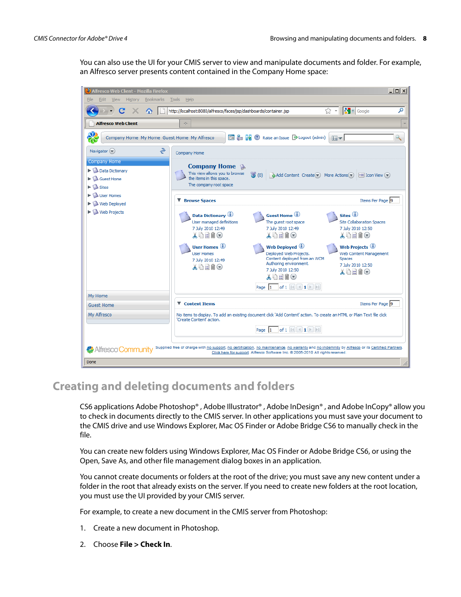You can also use the UI for your CMIS server to view and manipulate documents and folder. For example, an Alfresco server presents content contained in the Company Home space:



## <span id="page-7-0"></span>**Creating and deleting documents and folders**

CS6 applications Adobe Photoshop® , Adobe Illustrator® , Adobe InDesign® , and Adobe InCopy® allow you to check in documents directly to the CMIS server. In other applications you must save your document to the CMIS drive and use Windows Explorer, Mac OS Finder or Adobe Bridge CS6 to manually check in the file.

You can create new folders using Windows Explorer, Mac OS Finder or Adobe Bridge CS6, or using the Open, Save As, and other file management dialog boxes in an application.

You cannot create documents or folders at the root of the drive; you must save any new content under a folder in the root that already exists on the server. If you need to create new folders at the root location, you must use the UI provided by your CMIS server.

For example, to create a new document in the CMIS server from Photoshop:

- 1. Create a new document in Photoshop.
- 2. Choose **File > Check In**.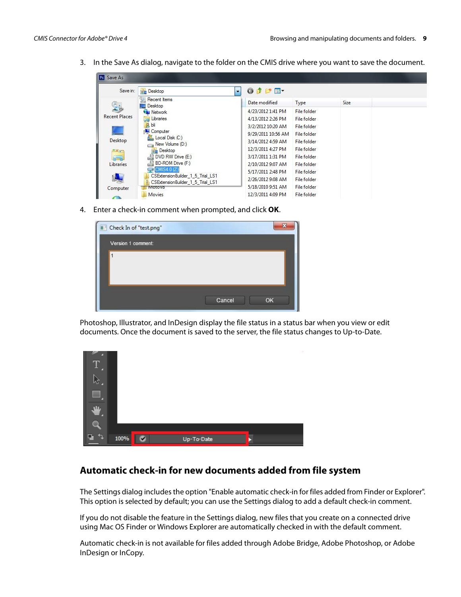3. In the Save As dialog, navigate to the folder on the CMIS drive where you want to save the document.

| Ps Save As                  |                                                                      |                                                               |                    |      |  |
|-----------------------------|----------------------------------------------------------------------|---------------------------------------------------------------|--------------------|------|--|
| Save in:                    | $Re$ Desktop                                                         | $0$ $0$ $0$ $\mathbb{R}$ $\mathbb{R}$ $\mathbb{R}$<br>$\cdot$ |                    |      |  |
|                             | Recent Items<br>Desktop                                              | Date modified                                                 | Type               | Size |  |
|                             | Network                                                              | 4/23/2012 1:41 PM                                             | <b>File folder</b> |      |  |
| <b>Recent Places</b>        | Libraries<br>ā                                                       | 4/13/2012 2:26 PM                                             | <b>File folder</b> |      |  |
|                             | bli                                                                  | 3/2/2012 10:20 AM                                             | <b>File folder</b> |      |  |
|                             | <b>L</b> Computer                                                    | 9/29/2011 10:56 AM                                            | <b>File folder</b> |      |  |
| Desktop                     | Local Disk (C:)<br>New Volume (D:)                                   | 3/14/2012 4:59 AM                                             | <b>File folder</b> |      |  |
| $\mathcal{F}_{\mathcal{A}}$ | Desktop                                                              | 12/3/2011 4:27 PM                                             | <b>File folder</b> |      |  |
| <b>SER</b>                  | DVD RW Drive (E:)                                                    | 3/17/2011 1:31 PM                                             | File folder        |      |  |
| <b>Libraries</b>            | BD-ROM Drive (F:)                                                    | 2/10/2012 9:07 AM                                             | <b>File folder</b> |      |  |
|                             | CMIS4.0 (Z)                                                          | 5/17/2011 2:48 PM                                             | <b>File folder</b> |      |  |
|                             | CSExtensionBuilder_1_5_Trial_LS1<br>CSExtensionBuilder 1 5 Trial LS1 | 2/26/2012 9:08 AM                                             | <b>File folder</b> |      |  |
| Computer                    | Motova                                                               | 5/18/2010 9:51 AM                                             | File folder        |      |  |
|                             | Movies                                                               | 12/3/2011 4:09 PM                                             | <b>File folder</b> |      |  |

4. Enter a check-in comment when prompted, and click **OK**.

| Check In of "test.png" | 37           |
|------------------------|--------------|
| Version 1 comment:     |              |
|                        |              |
|                        | Cancel<br>OK |

Photoshop, Illustrator, and InDesign display the file status in a status bar when you view or edit documents. Once the document is saved to the server, the file status changes to Up-to-Date.



#### **Automatic check-in for new documents added from file system**

The Settings dialog includes the option "Enable automatic check-in for files added from Finder or Explorer". This option is selected by default; you can use the Settings dialog to add a default check-in comment.

If you do not disable the feature in the Settings dialog, new files that you create on a connected drive using Mac OS Finder or Windows Explorer are automatically checked in with the default comment.

Automatic check-in is not available for files added through Adobe Bridge, Adobe Photoshop, or Adobe InDesign or InCopy.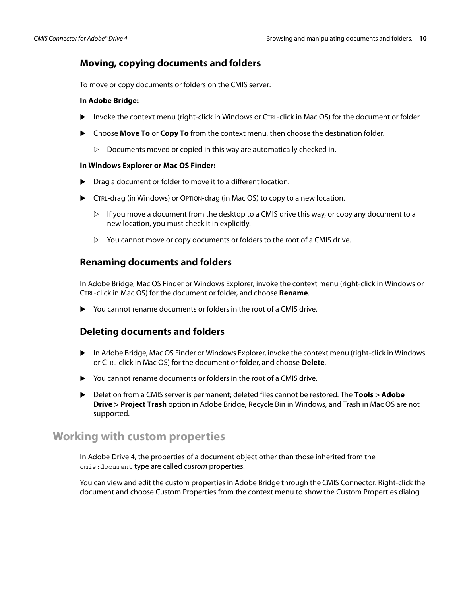#### <span id="page-9-0"></span>**Moving, copying documents and folders**

To move or copy documents or folders on the CMIS server:

#### **In Adobe Bridge:**

- Invoke the context menu (right-click in Windows or CTRL-click in Mac OS) for the document or folder.
- Choose **Move To** or **Copy To** from the context menu, then choose the destination folder.
	- $\triangleright$  Documents moved or copied in this way are automatically checked in.

#### **In Windows Explorer or Mac OS Finder:**

- ▶ Drag a document or folder to move it to a different location.
- CTRL-drag (in Windows) or OPTION-drag (in Mac OS) to copy to a new location.
	- $\triangleright$  If you move a document from the desktop to a CMIS drive this way, or copy any document to a new location, you must check it in explicitly.
	- $\triangleright$  You cannot move or copy documents or folders to the root of a CMIS drive.

#### <span id="page-9-1"></span>**Renaming documents and folders**

In Adobe Bridge, Mac OS Finder or Windows Explorer, invoke the context menu (right-click in Windows or CTRL-click in Mac OS) for the document or folder, and choose **Rename**.

You cannot rename documents or folders in the root of a CMIS drive.

#### <span id="page-9-2"></span>**Deleting documents and folders**

- In Adobe Bridge, Mac OS Finder or Windows Explorer, invoke the context menu (right-click in Windows or CTRL-click in Mac OS) for the document or folder, and choose **Delete**.
- ▶ You cannot rename documents or folders in the root of a CMIS drive.
- Deletion from a CMIS server is permanent; deleted files cannot be restored. The **Tools > Adobe Drive > Project Trash** option in Adobe Bridge, Recycle Bin in Windows, and Trash in Mac OS are not supported.

#### <span id="page-9-3"></span>**Working with custom properties**

In Adobe Drive 4, the properties of a document object other than those inherited from the cmis:document type are called custom properties.

You can view and edit the custom properties in Adobe Bridge through the CMIS Connector. Right-click the document and choose Custom Properties from the context menu to show the Custom Properties dialog.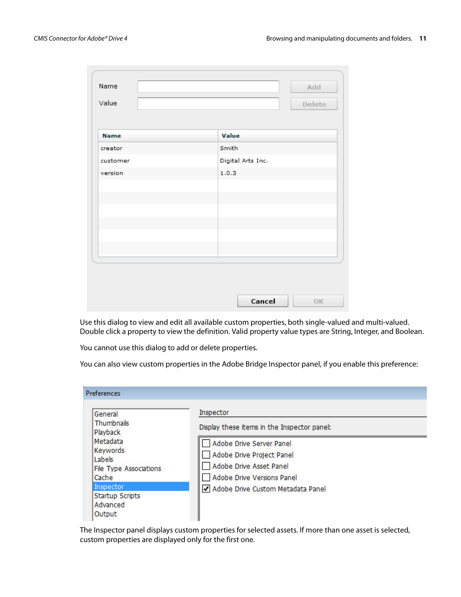| Name     | Add               |
|----------|-------------------|
| Value    | Delete            |
|          |                   |
| Name     | Value             |
| creator  | Smith             |
| customer | Digital Arts Inc. |
| version  | 1.0.3             |
|          |                   |
|          |                   |
|          |                   |
|          |                   |
|          |                   |
|          |                   |
|          |                   |
|          |                   |
|          |                   |
|          | Cancel<br>OK      |

Use this dialog to view and edit all available custom properties, both single-valued and multi-valued. Double click a property to view the definition. Valid property value types are String, Integer, and Boolean.

You cannot use this dialog to add or delete properties.

You can also view custom properties in the Adobe Bridge Inspector panel, if you enable this preference:

| Preferences                                                              |                                                                                                                |
|--------------------------------------------------------------------------|----------------------------------------------------------------------------------------------------------------|
| General<br>Thumbnails<br>Playback                                        | Inspector<br>Display these items in the Inspector panel:                                                       |
| Metadata<br>Keywords<br>Labels<br><b>File Type Associations</b><br>Cache | Adobe Drive Server Panel<br>Adobe Drive Project Panel<br>Adobe Drive Asset Panel<br>Adobe Drive Versions Panel |
| Inspector<br><b>Startup Scripts</b><br>Advanced<br>Output                | Adobe Drive Custom Metadata Panel                                                                              |

The Inspector panel displays custom properties for selected assets. If more than one asset is selected, custom properties are displayed only for the first one.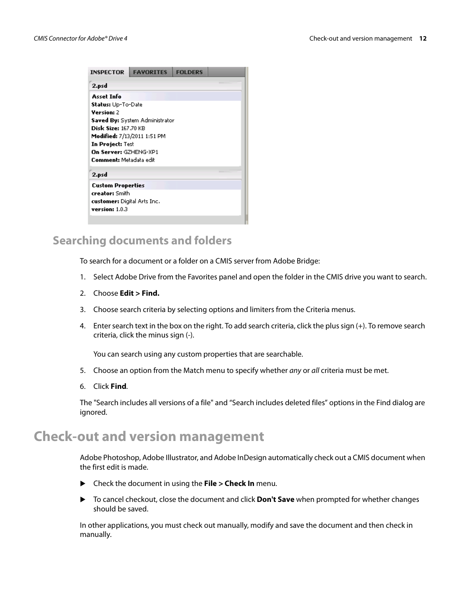| <b>INSPECTOR</b>            | <b>FAVORITES</b>                   | <b>FOLDERS</b> |  |  |  |
|-----------------------------|------------------------------------|----------------|--|--|--|
| 2.psd                       |                                    |                |  |  |  |
| <b>Asset Info</b>           |                                    |                |  |  |  |
| Status: Up-To-Date          |                                    |                |  |  |  |
| Version: 2                  |                                    |                |  |  |  |
|                             | Saved By: System Administrator     |                |  |  |  |
| <b>Disk Size:</b> 167.70 KB |                                    |                |  |  |  |
|                             | <b>Modified:</b> 7/13/2011 1:51 PM |                |  |  |  |
| In Project: Test            |                                    |                |  |  |  |
| On Server: GZHENG-XP1       |                                    |                |  |  |  |
| Comment: Metadata edit      |                                    |                |  |  |  |
| 2.psd                       |                                    |                |  |  |  |
| <b>Custom Properties</b>    |                                    |                |  |  |  |
| creator: Smith              |                                    |                |  |  |  |
| customer: Digital Arts Inc. |                                    |                |  |  |  |
| version: $1.0.3$            |                                    |                |  |  |  |
|                             |                                    |                |  |  |  |

### <span id="page-11-0"></span>**Searching documents and folders**

To search for a document or a folder on a CMIS server from Adobe Bridge:

- 1. Select Adobe Drive from the Favorites panel and open the folder in the CMIS drive you want to search.
- 2. Choose **Edit > Find.**
- 3. Choose search criteria by selecting options and limiters from the Criteria menus.
- 4. Enter search text in the box on the right. To add search criteria, click the plus sign (+). To remove search criteria, click the minus sign (-).

You can search using any custom properties that are searchable.

- 5. Choose an option from the Match menu to specify whether any or all criteria must be met.
- 6. Click **Find**.

The "Search includes all versions of a file" and "Search includes deleted files" options in the Find dialog are ignored.

## <span id="page-11-1"></span>**Check-out and version management**

Adobe Photoshop, Adobe Illustrator, and Adobe InDesign automatically check out a CMIS document when the first edit is made.

- Check the document in using the **File > Check In** menu.
- To cancel checkout, close the document and click **Don't Save** when prompted for whether changes should be saved.

In other applications, you must check out manually, modify and save the document and then check in manually.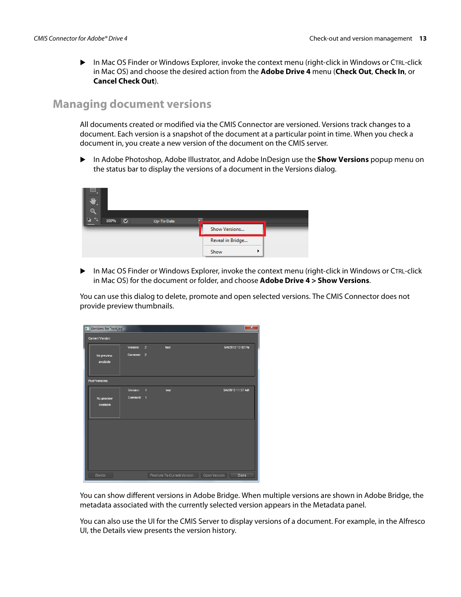In Mac OS Finder or Windows Explorer, invoke the context menu (right-click in Windows or CTRL-click in Mac OS) and choose the desired action from the **Adobe Drive 4** menu (**Check Out**, **Check In**, or **Cancel Check Out**).

### <span id="page-12-0"></span>**Managing document versions**

All documents created or modified via the CMIS Connector are versioned. Versions track changes to a document. Each version is a snapshot of the document at a particular point in time. When you check a document in, you create a new version of the document on the CMIS server.

 In Adobe Photoshop, Adobe Illustrator, and Adobe InDesign use the **Show Versions** popup menu on the status bar to display the versions of a document in the Versions dialog.



 In Mac OS Finder or Windows Explorer, invoke the context menu (right-click in Windows or CTRL-click in Mac OS) for the document or folder, and choose **Adobe Drive 4 > Show Versions**.

You can use this dialog to delete, promote and open selected versions. The CMIS Connector does not provide preview thumbnails.

| Versions for "test.jpg" |          |                |                            | $\mathbf{x}$         |
|-------------------------|----------|----------------|----------------------------|----------------------|
| <b>Current Version</b>  |          |                |                            |                      |
|                         | Version: | $\overline{2}$ | test                       | 5/4/2012 12:02 PM    |
| No preview              | Comment: | $\overline{2}$ |                            |                      |
| available               |          |                |                            |                      |
|                         |          |                |                            |                      |
| <b>Past Versions</b>    |          |                |                            |                      |
|                         | Version: | $\overline{1}$ | test                       | 5/4/2012 11:57 AM    |
| No preview<br>available | Comment: | $\overline{1}$ |                            |                      |
|                         |          |                |                            |                      |
|                         |          |                |                            |                      |
|                         |          |                |                            |                      |
|                         |          |                |                            |                      |
|                         |          |                |                            |                      |
|                         |          |                |                            |                      |
|                         |          |                |                            |                      |
| Delete                  |          |                | Promote To Current Version | Open Version<br>Done |
|                         |          |                |                            |                      |

You can show different versions in Adobe Bridge. When multiple versions are shown in Adobe Bridge, the metadata associated with the currently selected version appears in the Metadata panel.

You can also use the UI for the CMIS Server to display versions of a document. For example, in the Alfresco UI, the Details view presents the version history.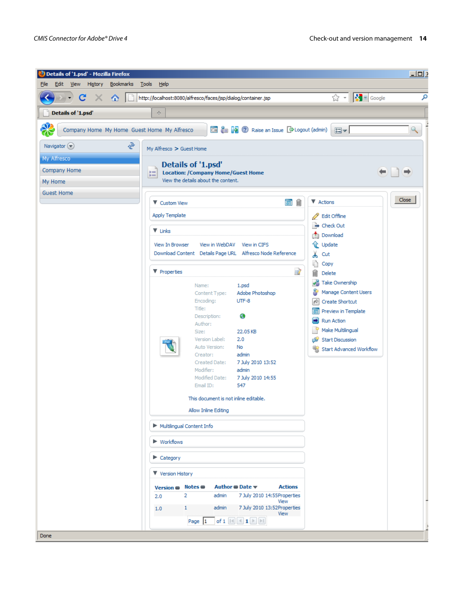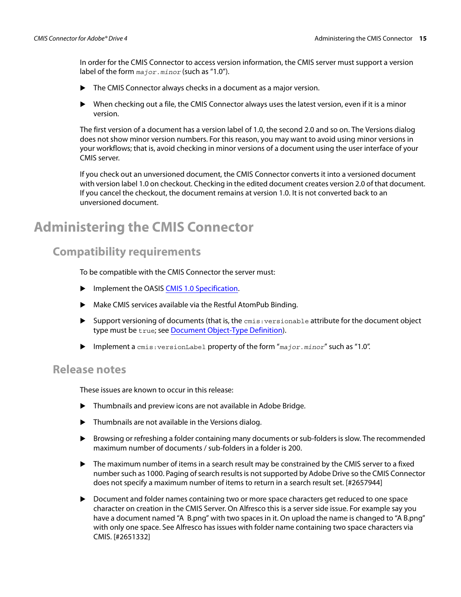In order for the CMIS Connector to access version information, the CMIS server must support a version label of the form  $_{major. minor}$  (such as "1.0").

- ▶ The CMIS Connector always checks in a document as a major version.
- $\triangleright$  When checking out a file, the CMIS Connector always uses the latest version, even if it is a minor version.

The first version of a document has a version label of 1.0, the second 2.0 and so on. The Versions dialog does not show minor version numbers. For this reason, you may want to avoid using minor versions in your workflows; that is, avoid checking in minor versions of a document using the user interface of your CMIS server.

If you check out an unversioned document, the CMIS Connector converts it into a versioned document with version label 1.0 on checkout. Checking in the edited document creates version 2.0 of that document. If you cancel the checkout, the document remains at version 1.0. It is not converted back to an unversioned document.

# <span id="page-14-0"></span>**Administering the CMIS Connector**

### <span id="page-14-1"></span>**Compatibility requirements**

To be compatible with the CMIS Connector the server must:

- **IMPLEMENTE INCORDITY IS NOT A THE IMPLEMENT IS A THE IMPLEMENT IS A THE IMPLEMENT IS A THE IMPLEMENT IS A THE I**
- Make CMIS services available via the Restful AtomPub Binding.
- $\triangleright$  Support versioning of documents (that is, the  $cmis:versionable$  attribute for the document object type must be true; see [Document Object-Type Definition](http://docs.oasis-open.org/cmis/CMIS/v1.0/cs01/cmis-spec-v1.0.html#_Toc243905396)).
- **Implement a** cmis: versionLabel property of the form "major. minor" such as "1.0".

#### <span id="page-14-2"></span>**Release notes**

These issues are known to occur in this release:

- Thumbnails and preview icons are not available in Adobe Bridge.
- Thumbnails are not available in the Versions dialog.
- Browsing or refreshing a folder containing many documents or sub-folders is slow. The recommended maximum number of documents / sub-folders in a folder is 200.
- ▶ The maximum number of items in a search result may be constrained by the CMIS server to a fixed number such as 1000. Paging of search results is not supported by Adobe Drive so the CMIS Connector does not specify a maximum number of items to return in a search result set. [#2657944]
- Document and folder names containing two or more space characters get reduced to one space character on creation in the CMIS Server. On Alfresco this is a server side issue. For example say you have a document named "A B.png" with two spaces in it. On upload the name is changed to "A B.png" with only one space. See Alfresco has issues with folder name containing two space characters via CMIS. [#2651332]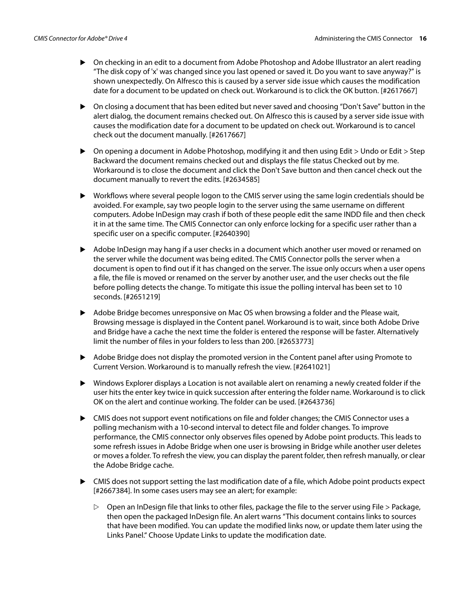- On checking in an edit to a document from Adobe Photoshop and Adobe Illustrator an alert reading "The disk copy of 'x' was changed since you last opened or saved it. Do you want to save anyway?" is shown unexpectedly. On Alfresco this is caused by a server side issue which causes the modification date for a document to be updated on check out. Workaround is to click the OK button. [#2617667]
- On closing a document that has been edited but never saved and choosing "Don't Save" button in the alert dialog, the document remains checked out. On Alfresco this is caused by a server side issue with causes the modification date for a document to be updated on check out. Workaround is to cancel check out the document manually. [#2617667]
- $\triangleright$  On opening a document in Adobe Photoshop, modifying it and then using Edit  $>$  Undo or Edit  $>$  Step Backward the document remains checked out and displays the file status Checked out by me. Workaround is to close the document and click the Don't Save button and then cancel check out the document manually to revert the edits. [#2634585]
- Workflows where several people logon to the CMIS server using the same login credentials should be avoided. For example, say two people login to the server using the same username on different computers. Adobe InDesign may crash if both of these people edit the same INDD file and then check it in at the same time. The CMIS Connector can only enforce locking for a specific user rather than a specific user on a specific computer. [#2640390]
- Adobe InDesign may hang if a user checks in a document which another user moved or renamed on the server while the document was being edited. The CMIS Connector polls the server when a document is open to find out if it has changed on the server. The issue only occurs when a user opens a file, the file is moved or renamed on the server by another user, and the user checks out the file before polling detects the change. To mitigate this issue the polling interval has been set to 10 seconds. [#2651219]
- Adobe Bridge becomes unresponsive on Mac OS when browsing a folder and the Please wait, Browsing message is displayed in the Content panel. Workaround is to wait, since both Adobe Drive and Bridge have a cache the next time the folder is entered the response will be faster. Alternatively limit the number of files in your folders to less than 200. [#2653773]
- Adobe Bridge does not display the promoted version in the Content panel after using Promote to Current Version. Workaround is to manually refresh the view. [#2641021]
- Windows Explorer displays a Location is not available alert on renaming a newly created folder if the user hits the enter key twice in quick succession after entering the folder name. Workaround is to click OK on the alert and continue working. The folder can be used. [#2643736]
- CMIS does not support event notifications on file and folder changes; the CMIS Connector uses a polling mechanism with a 10-second interval to detect file and folder changes. To improve performance, the CMIS connector only observes files opened by Adobe point products. This leads to some refresh issues in Adobe Bridge when one user is browsing in Bridge while another user deletes or moves a folder. To refresh the view, you can display the parent folder, then refresh manually, or clear the Adobe Bridge cache.
- CMIS does not support setting the last modification date of a file, which Adobe point products expect [#2667384]. In some cases users may see an alert; for example:
	- $\triangleright$  Open an InDesign file that links to other files, package the file to the server using File  $>$  Package, then open the packaged InDesign file. An alert warns "This document contains links to sources that have been modified. You can update the modified links now, or update them later using the Links Panel." Choose Update Links to update the modification date.